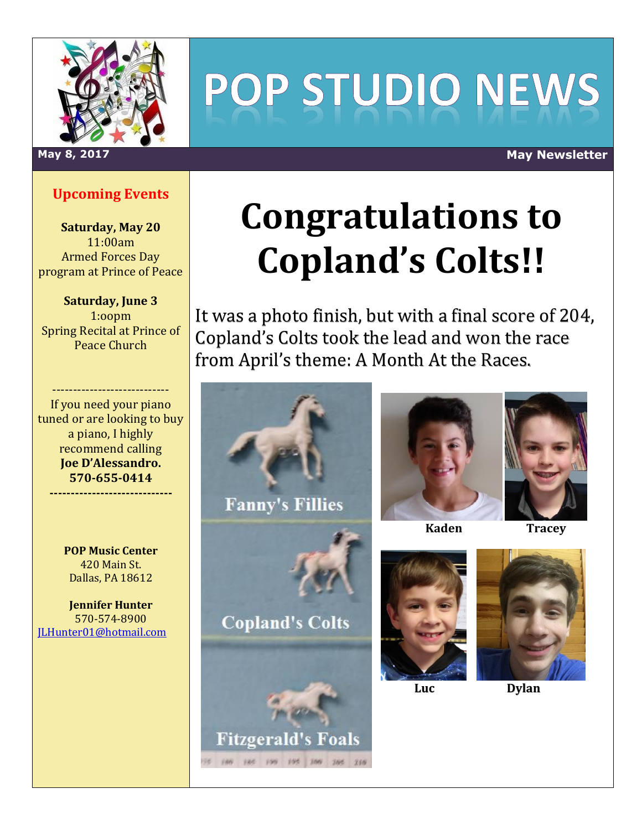

# POP STUDIO NEWS

#### **Upcoming Events**

**Saturday, May 20** 11:00am Armed Forces Day program at Prince of Peace

**Saturday, June 3** 1:oopm Spring Recital at Prince of Peace Church

---------------------------- If you need your piano tuned or are looking to buy a piano, I highly recommend calling **Joe D'Alessandro. 570-655-0414 -----------------------------**

> **POP Music Center** 420 Main St. Dallas, PA 18612

**Jennifer Hunter** 570-574-8900 [JLHunter01@hotmail.com](mailto:JLHunter01@hotmail.com)

## **Congratulations to Copland's Colts!!**

It was a photo finish, but with a final score of 204, Copland's Colts took the lead and won the race from April's theme: A Month At the Races.



(at 100 105 100 100 210